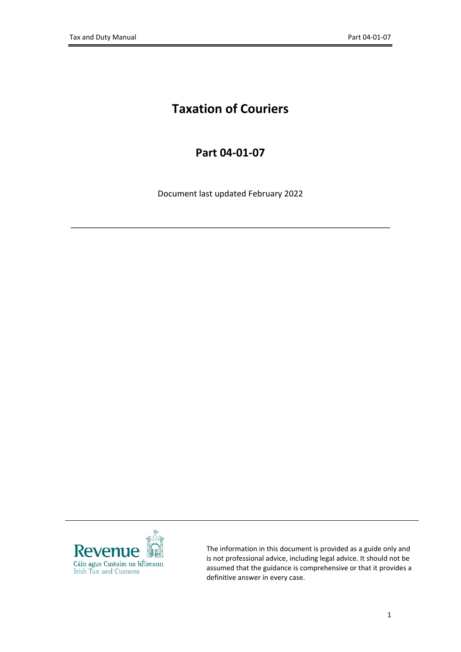# **Taxation of Couriers**

## **Part 04-01-07**

Document last updated February 2022

\_\_\_\_\_\_\_\_\_\_\_\_\_\_\_\_\_\_\_\_\_\_\_\_\_\_\_\_\_\_\_\_\_\_\_\_\_\_\_\_\_\_\_\_\_\_\_\_\_\_\_\_\_\_\_\_\_\_\_\_\_\_\_\_\_\_\_\_\_



The information in this document is provided as a guide only and is not professional advice, including legal advice. It should not be assumed that the guidance is comprehensive or that it provides a definitive answer in every case.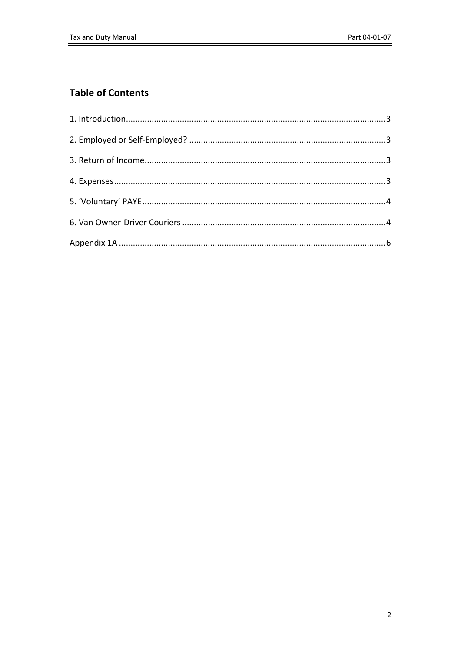## **Table of Contents**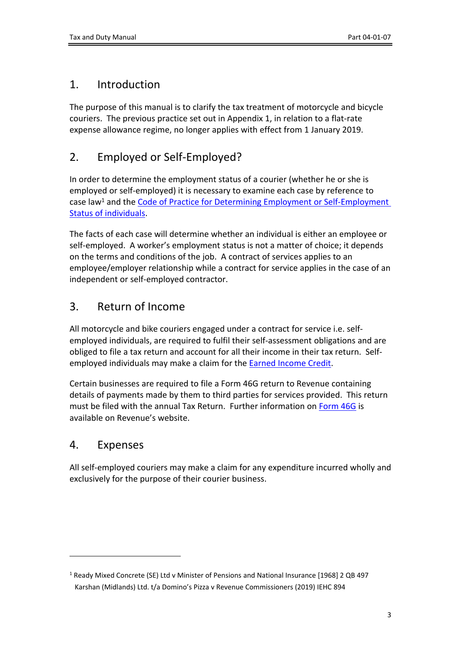## <span id="page-2-0"></span>1. Introduction

The purpose of this manual is to clarify the tax treatment of motorcycle and bicycle couriers. The previous practice set out in Appendix 1, in relation to a flat-rate expense allowance regime, no longer applies with effect from 1 January 2019.

# <span id="page-2-1"></span>2. Employed or Self-Employed?

In order to determine the employment status of a courier (whether he or she is employed or self-employed) it is necessary to examine each case by reference to case law<sup>1</sup> and the [Code](https://www.revenue.ie/en/self-assessment-and-self-employment/documents/code-of-practice-on-employment-status.pdf) [of](https://www.revenue.ie/en/self-assessment-and-self-employment/documents/code-of-practice-on-employment-status.pdf) [Practice](https://www.revenue.ie/en/self-assessment-and-self-employment/documents/code-of-practice-on-employment-status.pdf) [for](https://www.revenue.ie/en/self-assessment-and-self-employment/documents/code-of-practice-on-employment-status.pdf) [Determining](https://www.revenue.ie/en/self-assessment-and-self-employment/documents/code-of-practice-on-employment-status.pdf) [Employment](https://www.revenue.ie/en/self-assessment-and-self-employment/documents/code-of-practice-on-employment-status.pdf) [or](https://www.revenue.ie/en/self-assessment-and-self-employment/documents/code-of-practice-on-employment-status.pdf) [Self-Employment](https://www.revenue.ie/en/self-assessment-and-self-employment/documents/code-of-practice-on-employment-status.pdf) [Status](https://www.revenue.ie/en/self-assessment-and-self-employment/documents/code-of-practice-on-employment-status.pdf) [of](https://www.revenue.ie/en/self-assessment-and-self-employment/documents/code-of-practice-on-employment-status.pdf) [individuals.](https://www.revenue.ie/en/self-assessment-and-self-employment/documents/code-of-practice-on-employment-status.pdf)

The facts of each case will determine whether an individual is either an employee or self-employed. A worker's employment status is not a matter of choice; it depends on the terms and conditions of the job. A contract of services applies to an employee/employer relationship while a contract for service applies in the case of an independent or self-employed contractor.

# <span id="page-2-2"></span>3. Return of Income

All motorcycle and bike couriers engaged under a contract for service i.e. selfemployed individuals, are required to fulfil their self-assessment obligations and are obliged to file a tax return and account for all their income in their tax return. Selfemployed individuals may make a claim for the [Earned](https://www.revenue.ie/en/personal-tax-credits-reliefs-and-exemptions/income-and-employment/earned-income-credit/index.aspx) [Income](https://www.revenue.ie/en/personal-tax-credits-reliefs-and-exemptions/income-and-employment/earned-income-credit/index.aspx) [Credit.](https://www.revenue.ie/en/personal-tax-credits-reliefs-and-exemptions/income-and-employment/earned-income-credit/index.aspx)

Certain businesses are required to file a Form 46G return to Revenue containing details of payments made by them to third parties for services provided. This return must be filed with the annual Tax Return. Further information on [Form](https://www.revenue.ie/en/companies-and-charities/corporation-tax-for-companies/third-party-returns/form-46g.aspx) [46G](https://www.revenue.ie/en/companies-and-charities/corporation-tax-for-companies/third-party-returns/form-46g.aspx) is available on Revenue's website.

# <span id="page-2-3"></span>4. Expenses

All self-employed couriers may make a claim for any expenditure incurred wholly and exclusively for the purpose of their courier business.

<sup>1</sup> Ready Mixed Concrete (SE) Ltd v Minister of Pensions and National Insurance [1968] 2 QB 497 Karshan (Midlands) Ltd. t/a Domino's Pizza v Revenue Commissioners (2019) IEHC 894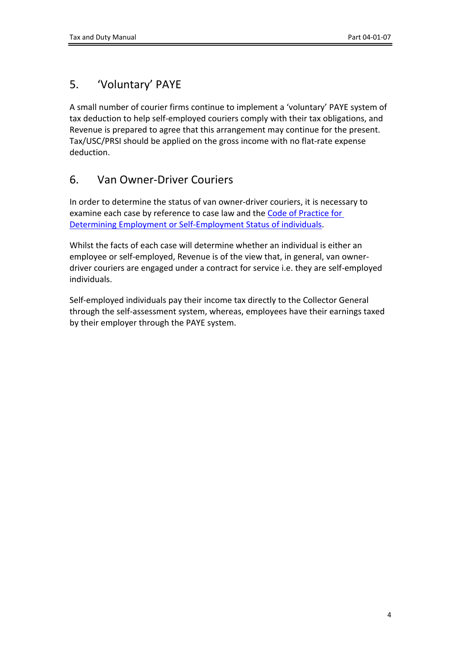# <span id="page-3-0"></span>5. 'Voluntary' PAYE

A small number of courier firms continue to implement a 'voluntary' PAYE system of tax deduction to help self-employed couriers comply with their tax obligations, and Revenue is prepared to agree that this arrangement may continue for the present. Tax/USC/PRSI should be applied on the gross income with no flat-rate expense deduction.

# <span id="page-3-1"></span>6. Van Owner-Driver Couriers

In order to determine the status of van owner-driver couriers, it is necessary to examine each case by reference to case law and the [Code](https://www.revenue.ie/en/self-assessment-and-self-employment/documents/code-of-practice-on-employment-status.pdf) [of](https://www.revenue.ie/en/self-assessment-and-self-employment/documents/code-of-practice-on-employment-status.pdf) [Practice](https://www.revenue.ie/en/self-assessment-and-self-employment/documents/code-of-practice-on-employment-status.pdf) [for](https://www.revenue.ie/en/self-assessment-and-self-employment/documents/code-of-practice-on-employment-status.pdf) [Determining](https://www.revenue.ie/en/self-assessment-and-self-employment/documents/code-of-practice-on-employment-status.pdf) [Employment](https://www.revenue.ie/en/self-assessment-and-self-employment/documents/code-of-practice-on-employment-status.pdf) [or](https://www.revenue.ie/en/self-assessment-and-self-employment/documents/code-of-practice-on-employment-status.pdf) [Self-Employment](https://www.revenue.ie/en/self-assessment-and-self-employment/documents/code-of-practice-on-employment-status.pdf) [Status](https://www.revenue.ie/en/self-assessment-and-self-employment/documents/code-of-practice-on-employment-status.pdf) [of](https://www.revenue.ie/en/self-assessment-and-self-employment/documents/code-of-practice-on-employment-status.pdf) [individuals.](https://www.revenue.ie/en/self-assessment-and-self-employment/documents/code-of-practice-on-employment-status.pdf)

Whilst the facts of each case will determine whether an individual is either an employee or self-employed, Revenue is of the view that, in general, van ownerdriver couriers are engaged under a contract for service i.e. they are self-employed individuals.

Self-employed individuals pay their income tax directly to the Collector General through the self-assessment system, whereas, employees have their earnings taxed by their employer through the PAYE system.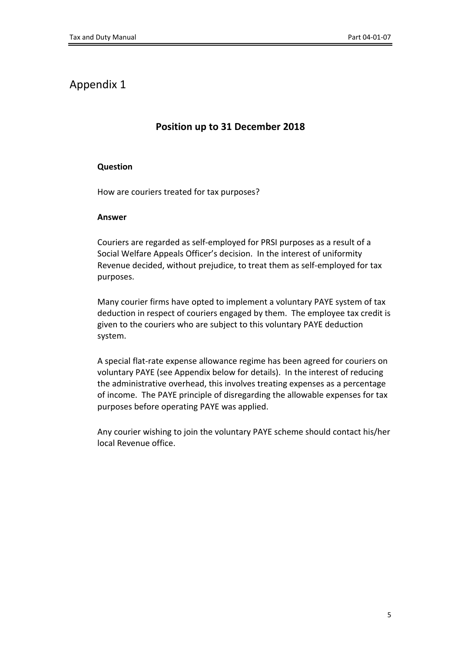## Appendix 1

## **Position up to 31 December 2018**

## **Question**

How are couriers treated for tax purposes?

### **Answer**

Couriers are regarded as self-employed for PRSI purposes as a result of a Social Welfare Appeals Officer's decision. In the interest of uniformity Revenue decided, without prejudice, to treat them as self-employed for tax purposes.

Many courier firms have opted to implement a voluntary PAYE system of tax deduction in respect of couriers engaged by them. The employee tax credit is given to the couriers who are subject to this voluntary PAYE deduction system.

A special flat-rate expense allowance regime has been agreed for couriers on voluntary PAYE (see Appendix below for details). In the interest of reducing the administrative overhead, this involves treating expenses as a percentage of income. The PAYE principle of disregarding the allowable expenses for tax purposes before operating PAYE was applied.

Any courier wishing to join the voluntary PAYE scheme should contact his/her local Revenue office.